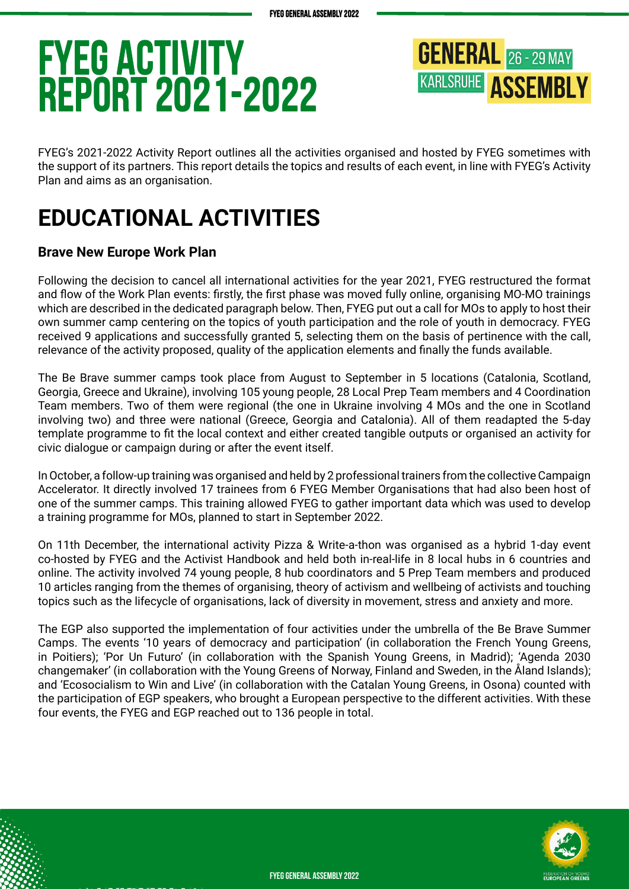## **FYEG ACtivity Report 2021-2022 FYEG ACtivity Report 2021-2022**



FYEG's 2021-2022 Activity Report outlines all the activities organised and hosted by FYEG sometimes with the support of its partners. This report details the topics and results of each event, in line with FYEG's Activity Plan and aims as an organisation.

## **EDUCATIONAL ACTIVITIES**

### **Brave New Europe Work Plan**

Following the decision to cancel all international activities for the year 2021, FYEG restructured the format and flow of the Work Plan events: firstly, the first phase was moved fully online, organising MO-MO trainings which are described in the dedicated paragraph below. Then, FYEG put out a call for MOs to apply to host their own summer camp centering on the topics of youth participation and the role of youth in democracy. FYEG received 9 applications and successfully granted 5, selecting them on the basis of pertinence with the call, relevance of the activity proposed, quality of the application elements and finally the funds available.

The Be Brave summer camps took place from August to September in 5 locations (Catalonia, Scotland, Georgia, Greece and Ukraine), involving 105 young people, 28 Local Prep Team members and 4 Coordination Team members. Two of them were regional (the one in Ukraine involving 4 MOs and the one in Scotland involving two) and three were national (Greece, Georgia and Catalonia). All of them readapted the 5-day template programme to fit the local context and either created tangible outputs or organised an activity for civic dialogue or campaign during or after the event itself.

In October, a follow-up training was organised and held by 2 professional trainers from the collective Campaign Accelerator. It directly involved 17 trainees from 6 FYEG Member Organisations that had also been host of one of the summer camps. This training allowed FYEG to gather important data which was used to develop a training programme for MOs, planned to start in September 2022.

On 11th December, the international activity Pizza & Write-a-thon was organised as a hybrid 1-day event co-hosted by FYEG and the Activist Handbook and held both in-real-life in 8 local hubs in 6 countries and online. The activity involved 74 young people, 8 hub coordinators and 5 Prep Team members and produced 10 articles ranging from the themes of organising, theory of activism and wellbeing of activists and touching topics such as the lifecycle of organisations, lack of diversity in movement, stress and anxiety and more.

The EGP also supported the implementation of four activities under the umbrella of the Be Brave Summer Camps. The events '10 years of democracy and participation' (in collaboration the French Young Greens, in Poitiers); 'Por Un Futuro' (in collaboration with the Spanish Young Greens, in Madrid); 'Agenda 2030 changemaker' (in collaboration with the Young Greens of Norway, Finland and Sweden, in the Åland Islands); and 'Ecosocialism to Win and Live' (in collaboration with the Catalan Young Greens, in Osona) counted with the participation of EGP speakers, who brought a European perspective to the different activities. With these four events, the FYEG and EGP reached out to 136 people in total.

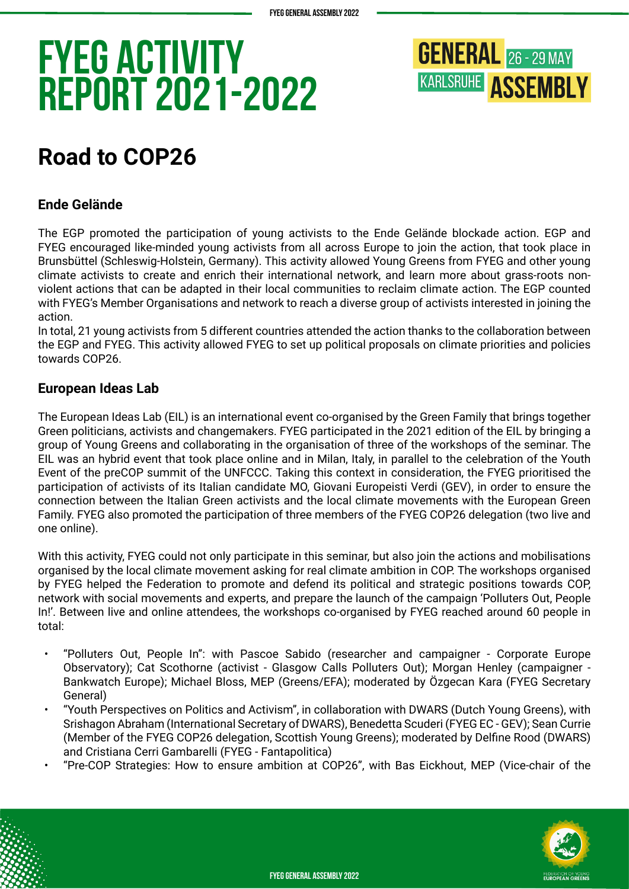

## **Road to COP26**

### **Ende Gelände**

The EGP promoted the participation of young activists to the Ende Gelände blockade action. EGP and FYEG encouraged like-minded young activists from all across Europe to join the action, that took place in Brunsbüttel (Schleswig-Holstein, Germany). This activity allowed Young Greens from FYEG and other young climate activists to create and enrich their international network, and learn more about grass-roots nonviolent actions that can be adapted in their local communities to reclaim climate action. The EGP counted with FYEG's Member Organisations and network to reach a diverse group of activists interested in joining the action.

In total, 21 young activists from 5 different countries attended the action thanks to the collaboration between the EGP and FYEG. This activity allowed FYEG to set up political proposals on climate priorities and policies towards COP26.

### **European Ideas Lab**

The European Ideas Lab (EIL) is an international event co-organised by the Green Family that brings together Green politicians, activists and changemakers. FYEG participated in the 2021 edition of the EIL by bringing a group of Young Greens and collaborating in the organisation of three of the workshops of the seminar. The EIL was an hybrid event that took place online and in Milan, Italy, in parallel to the celebration of the Youth Event of the preCOP summit of the UNFCCC. Taking this context in consideration, the FYEG prioritised the participation of activists of its Italian candidate MO, Giovani Europeisti Verdi (GEV), in order to ensure the connection between the Italian Green activists and the local climate movements with the European Green Family. FYEG also promoted the participation of three members of the FYEG COP26 delegation (two live and one online).

With this activity, FYEG could not only participate in this seminar, but also join the actions and mobilisations organised by the local climate movement asking for real climate ambition in COP. The workshops organised by FYEG helped the Federation to promote and defend its political and strategic positions towards COP, network with social movements and experts, and prepare the launch of the campaign 'Polluters Out, People In!'. Between live and online attendees, the workshops co-organised by FYEG reached around 60 people in total:

- "Polluters Out, People In": with Pascoe Sabido (researcher and campaigner Corporate Europe Observatory); Cat Scothorne (activist - Glasgow Calls Polluters Out); Morgan Henley (campaigner - Bankwatch Europe); Michael Bloss, MEP (Greens/EFA); moderated by Özgecan Kara (FYEG Secretary General)
- "Youth Perspectives on Politics and Activism", in collaboration with DWARS (Dutch Young Greens), with Srishagon Abraham (International Secretary of DWARS), Benedetta Scuderi (FYEG EC - GEV); Sean Currie (Member of the FYEG COP26 delegation, Scottish Young Greens); moderated by Delfine Rood (DWARS) and Cristiana Cerri Gambarelli (FYEG - Fantapolitica)
- "Pre-COP Strategies: How to ensure ambition at COP26", with Bas Eickhout, MEP (Vice-chair of the

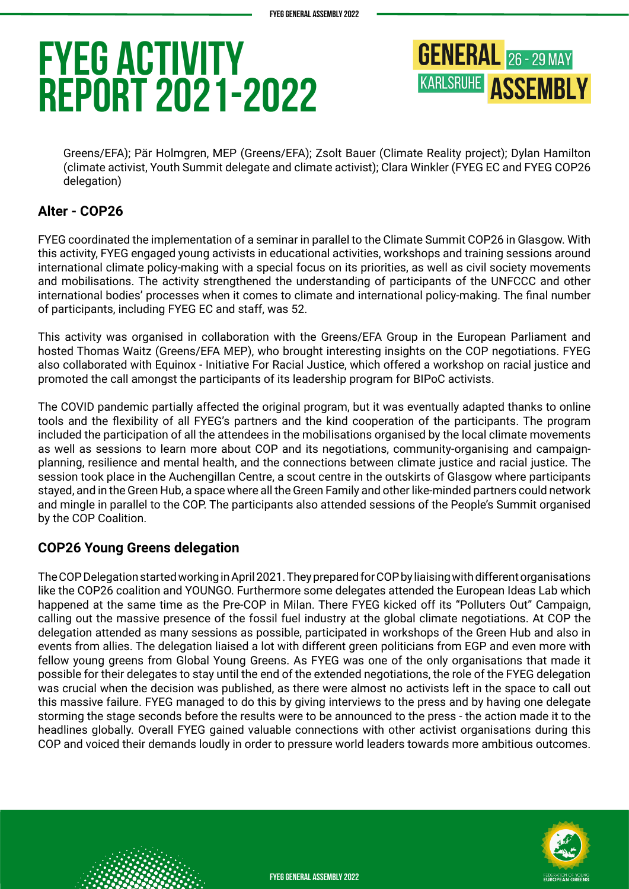**GENERAL** 26 - 29 MAY **KARLSRUHE ASSEMBLY** 

Greens/EFA); Pär Holmgren, MEP (Greens/EFA); Zsolt Bauer (Climate Reality project); Dylan Hamilton (climate activist, Youth Summit delegate and climate activist); Clara Winkler (FYEG EC and FYEG COP26 delegation)

### **Alter - COP26**

FYEG coordinated the implementation of a seminar in parallel to the Climate Summit COP26 in Glasgow. With this activity, FYEG engaged young activists in educational activities, workshops and training sessions around international climate policy-making with a special focus on its priorities, as well as civil society movements and mobilisations. The activity strengthened the understanding of participants of the UNFCCC and other international bodies' processes when it comes to climate and international policy-making. The final number of participants, including FYEG EC and staff, was 52.

This activity was organised in collaboration with the Greens/EFA Group in the European Parliament and hosted Thomas Waitz (Greens/EFA MEP), who brought interesting insights on the COP negotiations. FYEG also collaborated with Equinox - Initiative For Racial Justice, which offered a workshop on racial justice and promoted the call amongst the participants of its leadership program for BIPoC activists.

The COVID pandemic partially affected the original program, but it was eventually adapted thanks to online tools and the flexibility of all FYEG's partners and the kind cooperation of the participants. The program included the participation of all the attendees in the mobilisations organised by the local climate movements as well as sessions to learn more about COP and its negotiations, community-organising and campaignplanning, resilience and mental health, and the connections between climate justice and racial justice. The session took place in the Auchengillan Centre, a scout centre in the outskirts of Glasgow where participants stayed, and in the Green Hub, a space where all the Green Family and other like-minded partners could network and mingle in parallel to the COP. The participants also attended sessions of the People's Summit organised by the COP Coalition.

#### **COP26 Young Greens delegation**

The COP Delegation started working in April 2021. They prepared for COP by liaising with different organisations like the COP26 coalition and YOUNGO. Furthermore some delegates attended the European Ideas Lab which happened at the same time as the Pre-COP in Milan. There FYEG kicked off its "Polluters Out" Campaign, calling out the massive presence of the fossil fuel industry at the global climate negotiations. At COP the delegation attended as many sessions as possible, participated in workshops of the Green Hub and also in events from allies. The delegation liaised a lot with different green politicians from EGP and even more with fellow young greens from Global Young Greens. As FYEG was one of the only organisations that made it possible for their delegates to stay until the end of the extended negotiations, the role of the FYEG delegation was crucial when the decision was published, as there were almost no activists left in the space to call out this massive failure. FYEG managed to do this by giving interviews to the press and by having one delegate storming the stage seconds before the results were to be announced to the press - the action made it to the headlines globally. Overall FYEG gained valuable connections with other activist organisations during this COP and voiced their demands loudly in order to pressure world leaders towards more ambitious outcomes.

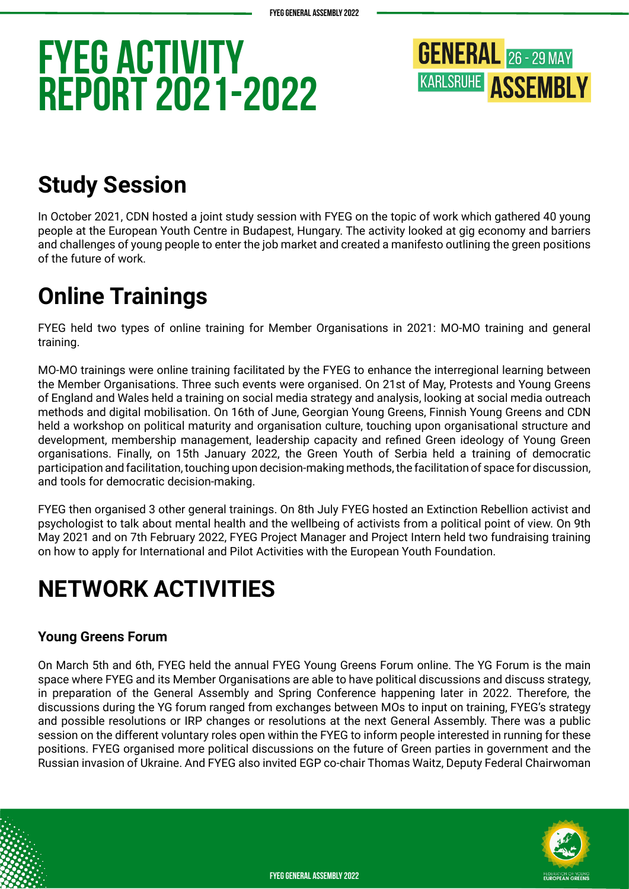

## **Study Session**

In October 2021, CDN hosted a joint study session with FYEG on the topic of work which gathered 40 young people at the European Youth Centre in Budapest, Hungary. The activity looked at gig economy and barriers and challenges of young people to enter the job market and created a manifesto outlining the green positions of the future of work.

## **Online Trainings**

FYEG held two types of online training for Member Organisations in 2021: MO-MO training and general training.

MO-MO trainings were online training facilitated by the FYEG to enhance the interregional learning between the Member Organisations. Three such events were organised. On 21st of May, Protests and Young Greens of England and Wales held a training on social media strategy and analysis, looking at social media outreach methods and digital mobilisation. On 16th of June, Georgian Young Greens, Finnish Young Greens and CDN held a workshop on political maturity and organisation culture, touching upon organisational structure and development, membership management, leadership capacity and refined Green ideology of Young Green organisations. Finally, on 15th January 2022, the Green Youth of Serbia held a training of democratic participation and facilitation, touching upon decision-making methods, the facilitation of space for discussion, and tools for democratic decision-making.

FYEG then organised 3 other general trainings. On 8th July FYEG hosted an Extinction Rebellion activist and psychologist to talk about mental health and the wellbeing of activists from a political point of view. On 9th May 2021 and on 7th February 2022, FYEG Project Manager and Project Intern held two fundraising training on how to apply for International and Pilot Activities with the European Youth Foundation.

## **NETWORK ACTIVITIES**

### **Young Greens Forum**

On March 5th and 6th, FYEG held the annual FYEG Young Greens Forum online. The YG Forum is the main space where FYEG and its Member Organisations are able to have political discussions and discuss strategy, in preparation of the General Assembly and Spring Conference happening later in 2022. Therefore, the discussions during the YG forum ranged from exchanges between MOs to input on training, FYEG's strategy and possible resolutions or IRP changes or resolutions at the next General Assembly. There was a public session on the different voluntary roles open within the FYEG to inform people interested in running for these positions. FYEG organised more political discussions on the future of Green parties in government and the Russian invasion of Ukraine. And FYEG also invited EGP co-chair Thomas Waitz, Deputy Federal Chairwoman

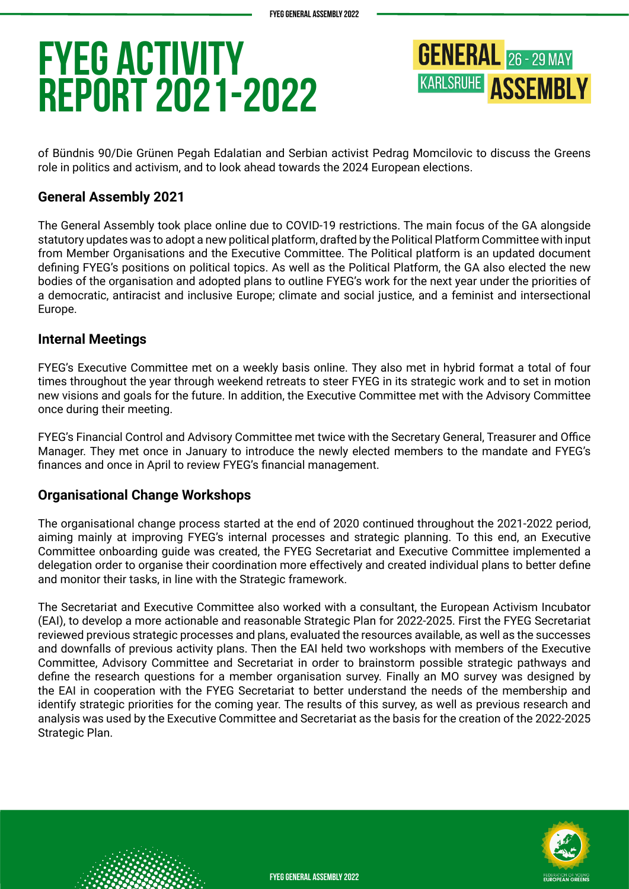**GENERAL** 26 - 29 MAY **KARLSRUHE ASSEMBLY** 

of Bündnis 90/Die Grünen Pegah Edalatian and Serbian activist Pedrag Momcilovic to discuss the Greens role in politics and activism, and to look ahead towards the 2024 European elections.

### **General Assembly 2021**

The General Assembly took place online due to COVID-19 restrictions. The main focus of the GA alongside statutory updates was to adopt a new political platform, drafted by the Political Platform Committee with input from Member Organisations and the Executive Committee. The Political platform is an updated document defining FYEG's positions on political topics. As well as the Political Platform, the GA also elected the new bodies of the organisation and adopted plans to outline FYEG's work for the next year under the priorities of a democratic, antiracist and inclusive Europe; climate and social justice, and a feminist and intersectional Europe.

#### **Internal Meetings**

FYEG's Executive Committee met on a weekly basis online. They also met in hybrid format a total of four times throughout the year through weekend retreats to steer FYEG in its strategic work and to set in motion new visions and goals for the future. In addition, the Executive Committee met with the Advisory Committee once during their meeting.

FYEG's Financial Control and Advisory Committee met twice with the Secretary General, Treasurer and Office Manager. They met once in January to introduce the newly elected members to the mandate and FYEG's finances and once in April to review FYEG's financial management.

### **Organisational Change Workshops**

The organisational change process started at the end of 2020 continued throughout the 2021-2022 period, aiming mainly at improving FYEG's internal processes and strategic planning. To this end, an Executive Committee onboarding guide was created, the FYEG Secretariat and Executive Committee implemented a delegation order to organise their coordination more effectively and created individual plans to better define and monitor their tasks, in line with the Strategic framework.

The Secretariat and Executive Committee also worked with a consultant, the European Activism Incubator (EAI), to develop a more actionable and reasonable Strategic Plan for 2022-2025. First the FYEG Secretariat reviewed previous strategic processes and plans, evaluated the resources available, as well as the successes and downfalls of previous activity plans. Then the EAI held two workshops with members of the Executive Committee, Advisory Committee and Secretariat in order to brainstorm possible strategic pathways and define the research questions for a member organisation survey. Finally an MO survey was designed by the EAI in cooperation with the FYEG Secretariat to better understand the needs of the membership and identify strategic priorities for the coming year. The results of this survey, as well as previous research and analysis was used by the Executive Committee and Secretariat as the basis for the creation of the 2022-2025 Strategic Plan.

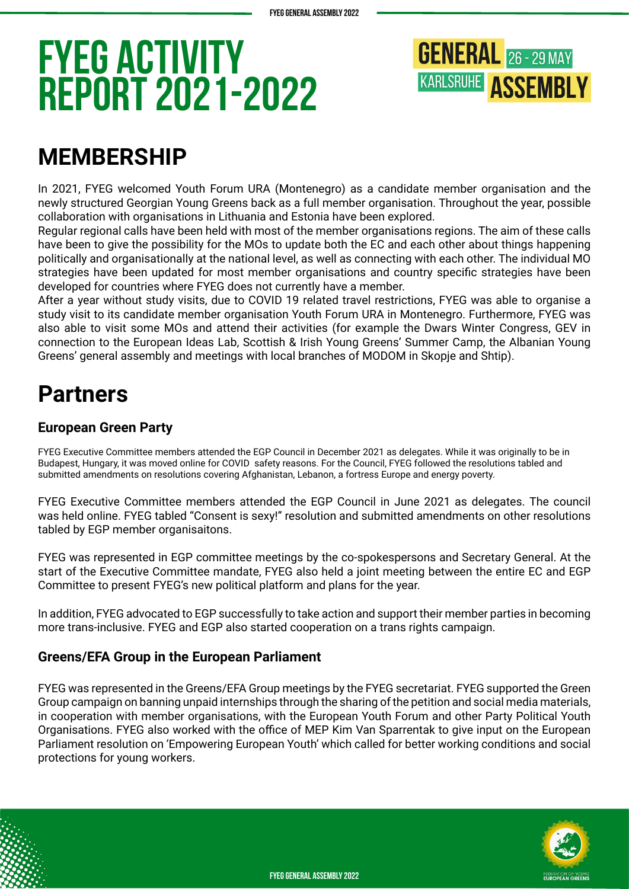

## **MEMBERSHIP**

In 2021, FYEG welcomed Youth Forum URA (Montenegro) as a candidate member organisation and the newly structured Georgian Young Greens back as a full member organisation. Throughout the year, possible collaboration with organisations in Lithuania and Estonia have been explored.

Regular regional calls have been held with most of the member organisations regions. The aim of these calls have been to give the possibility for the MOs to update both the EC and each other about things happening politically and organisationally at the national level, as well as connecting with each other. The individual MO strategies have been updated for most member organisations and country specific strategies have been developed for countries where FYEG does not currently have a member.

After a year without study visits, due to COVID 19 related travel restrictions, FYEG was able to organise a study visit to its candidate member organisation Youth Forum URA in Montenegro. Furthermore, FYEG was also able to visit some MOs and attend their activities (for example the Dwars Winter Congress, GEV in connection to the European Ideas Lab, Scottish & Irish Young Greens' Summer Camp, the Albanian Young Greens' general assembly and meetings with local branches of MODOM in Skopje and Shtip).

## **Partners**

### **European Green Party**

FYEG Executive Committee members attended the EGP Council in December 2021 as delegates. While it was originally to be in Budapest, Hungary, it was moved online for COVID safety reasons. For the Council, FYEG followed the resolutions tabled and submitted amendments on resolutions covering Afghanistan, Lebanon, a fortress Europe and energy poverty.

FYEG Executive Committee members attended the EGP Council in June 2021 as delegates. The council was held online. FYEG tabled "Consent is sexy!" resolution and submitted amendments on other resolutions tabled by EGP member organisaitons.

FYEG was represented in EGP committee meetings by the co-spokespersons and Secretary General. At the start of the Executive Committee mandate, FYEG also held a joint meeting between the entire EC and EGP Committee to present FYEG's new political platform and plans for the year.

In addition, FYEG advocated to EGP successfully to take action and support their member parties in becoming more trans-inclusive. FYEG and EGP also started cooperation on a trans rights campaign.

### **Greens/EFA Group in the European Parliament**

FYEG was represented in the Greens/EFA Group meetings by the FYEG secretariat. FYEG supported the Green Group campaign on banning unpaid internships through the sharing of the petition and social media materials, in cooperation with member organisations, with the European Youth Forum and other Party Political Youth Organisations. FYEG also worked with the office of MEP Kim Van Sparrentak to give input on the European Parliament resolution on 'Empowering European Youth' which called for better working conditions and social protections for young workers.

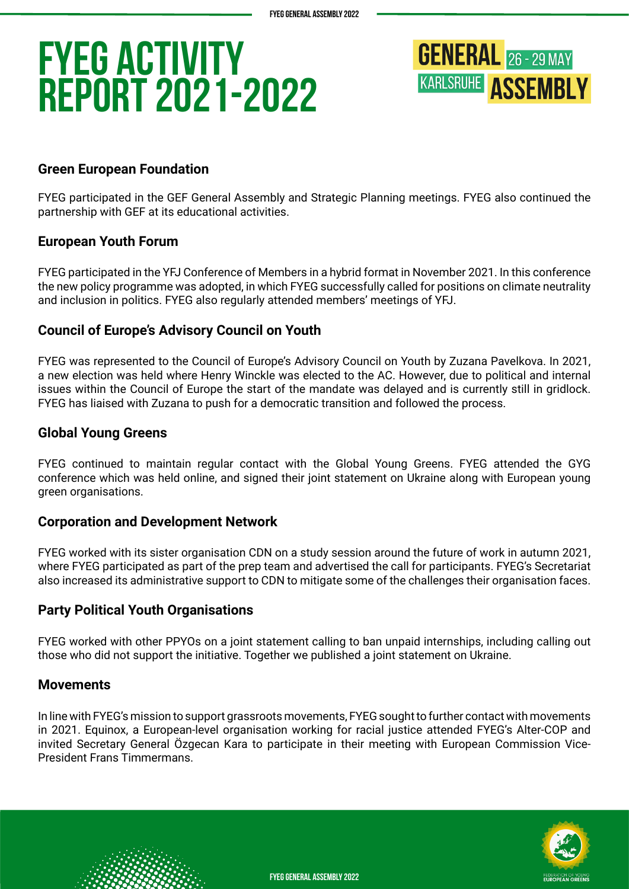

### **Green European Foundation**

FYEG participated in the GEF General Assembly and Strategic Planning meetings. FYEG also continued the partnership with GEF at its educational activities.

#### **European Youth Forum**

FYEG participated in the YFJ Conference of Members in a hybrid format in November 2021. In this conference the new policy programme was adopted, in which FYEG successfully called for positions on climate neutrality and inclusion in politics. FYEG also regularly attended members' meetings of YFJ.

#### **Council of Europe's Advisory Council on Youth**

FYEG was represented to the Council of Europe's Advisory Council on Youth by Zuzana Pavelkova. In 2021, a new election was held where Henry Winckle was elected to the AC. However, due to political and internal issues within the Council of Europe the start of the mandate was delayed and is currently still in gridlock. FYEG has liaised with Zuzana to push for a democratic transition and followed the process.

#### **Global Young Greens**

FYEG continued to maintain regular contact with the Global Young Greens. FYEG attended the GYG conference which was held online, and signed their joint statement on Ukraine along with European young green organisations.

#### **Corporation and Development Network**

FYEG worked with its sister organisation CDN on a study session around the future of work in autumn 2021, where FYEG participated as part of the prep team and advertised the call for participants. FYEG's Secretariat also increased its administrative support to CDN to mitigate some of the challenges their organisation faces.

#### **Party Political Youth Organisations**

FYEG worked with other PPYOs on a joint statement calling to ban unpaid internships, including calling out those who did not support the initiative. Together we published a joint statement on Ukraine.

#### **Movements**

In line with FYEG's mission to support grassroots movements, FYEG sought to further contact with movements in 2021. Equinox, a European-level organisation working for racial justice attended FYEG's Alter-COP and invited Secretary General Özgecan Kara to participate in their meeting with European Commission Vice-President Frans Timmermans.

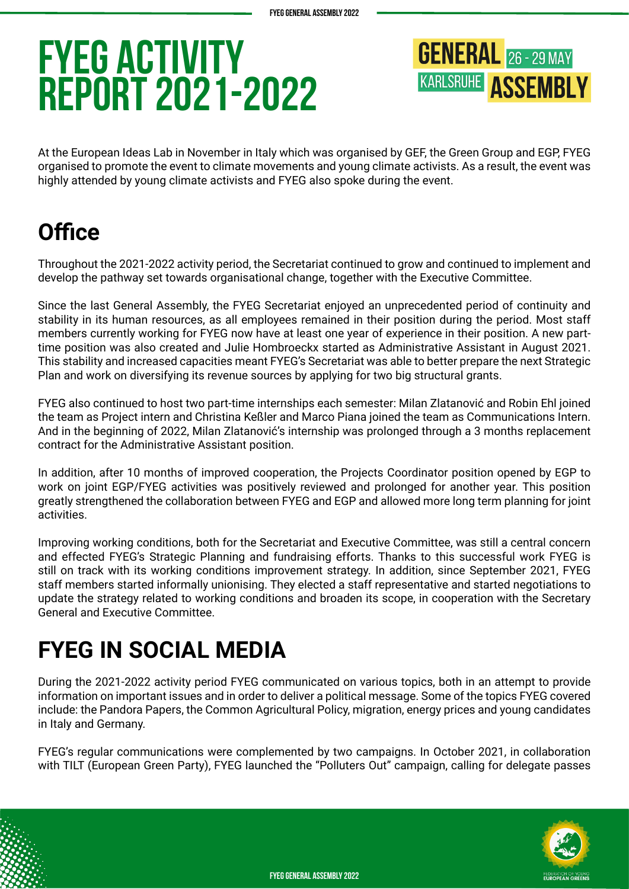**GENERAL** 26 - 29 MAY **KARLSRUHE ASSEMBLY** 

At the European Ideas Lab in November in Italy which was organised by GEF, the Green Group and EGP, FYEG organised to promote the event to climate movements and young climate activists. As a result, the event was highly attended by young climate activists and FYEG also spoke during the event.

## **Office**

Throughout the 2021-2022 activity period, the Secretariat continued to grow and continued to implement and develop the pathway set towards organisational change, together with the Executive Committee.

Since the last General Assembly, the FYEG Secretariat enjoyed an unprecedented period of continuity and stability in its human resources, as all employees remained in their position during the period. Most staff members currently working for FYEG now have at least one year of experience in their position. A new parttime position was also created and Julie Hombroeckx started as Administrative Assistant in August 2021. This stability and increased capacities meant FYEG's Secretariat was able to better prepare the next Strategic Plan and work on diversifying its revenue sources by applying for two big structural grants.

FYEG also continued to host two part-time internships each semester: Milan Zlatanović and Robin Ehl joined the team as Project intern and Christina Keßler and Marco Piana joined the team as Communications Intern. And in the beginning of 2022, Milan Zlatanović's internship was prolonged through a 3 months replacement contract for the Administrative Assistant position.

In addition, after 10 months of improved cooperation, the Projects Coordinator position opened by EGP to work on joint EGP/FYEG activities was positively reviewed and prolonged for another year. This position greatly strengthened the collaboration between FYEG and EGP and allowed more long term planning for joint activities.

Improving working conditions, both for the Secretariat and Executive Committee, was still a central concern and effected FYEG's Strategic Planning and fundraising efforts. Thanks to this successful work FYEG is still on track with its working conditions improvement strategy. In addition, since September 2021, FYEG staff members started informally unionising. They elected a staff representative and started negotiations to update the strategy related to working conditions and broaden its scope, in cooperation with the Secretary General and Executive Committee.

## **FYEG IN SOCIAL MEDIA**

During the 2021-2022 activity period FYEG communicated on various topics, both in an attempt to provide information on important issues and in order to deliver a political message. Some of the topics FYEG covered include: the Pandora Papers, the Common Agricultural Policy, migration, energy prices and young candidates in Italy and Germany.

FYEG's regular communications were complemented by two campaigns. In October 2021, in collaboration with TILT (European Green Party), FYEG launched the "Polluters Out" campaign, calling for delegate passes